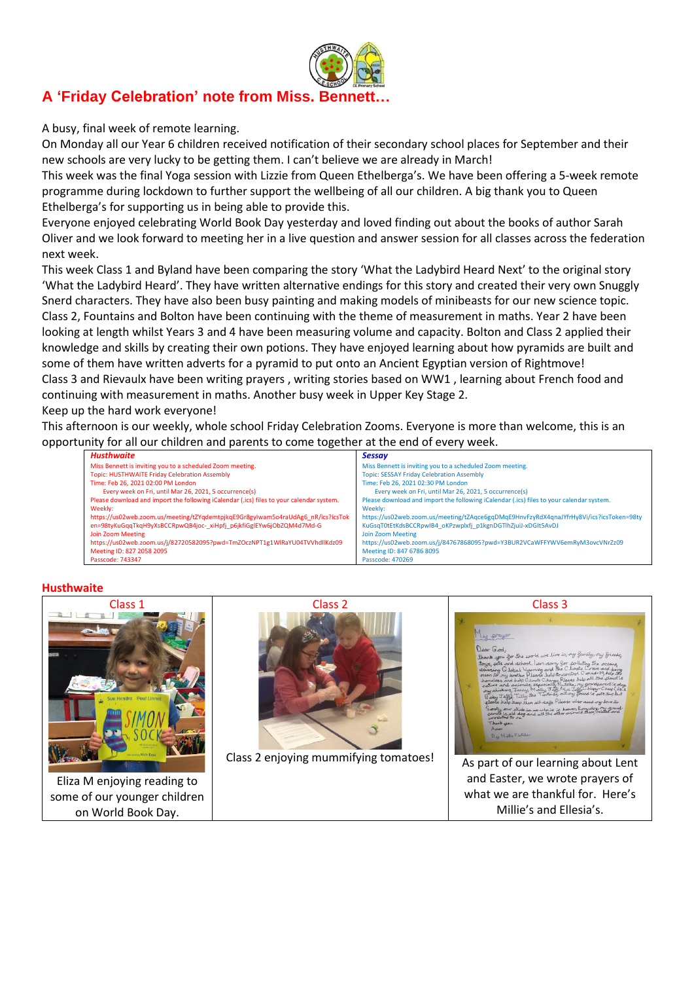

# **A 'Friday Celebration' note from Miss. Bennett…**

A busy, final week of remote learning.

On Monday all our Year 6 children received notification of their secondary school places for September and their new schools are very lucky to be getting them. I can't believe we are already in March!

This week was the final Yoga session with Lizzie from Queen Ethelberga's. We have been offering a 5-week remote programme during lockdown to further support the wellbeing of all our children. A big thank you to Queen Ethelberga's for supporting us in being able to provide this.

Everyone enjoyed celebrating World Book Day yesterday and loved finding out about the books of author Sarah Oliver and we look forward to meeting her in a live question and answer session for all classes across the federation next week.

This week Class 1 and Byland have been comparing the story 'What the Ladybird Heard Next' to the original story 'What the Ladybird Heard'. They have written alternative endings for this story and created their very own Snuggly Snerd characters. They have also been busy painting and making models of minibeasts for our new science topic. Class 2, Fountains and Bolton have been continuing with the theme of measurement in maths. Year 2 have been looking at length whilst Years 3 and 4 have been measuring volume and capacity. Bolton and Class 2 applied their knowledge and skills by creating their own potions. They have enjoyed learning about how pyramids are built and some of them have written adverts for a pyramid to put onto an Ancient Egyptian version of Rightmove! Class 3 and Rievaulx have been writing prayers , writing stories based on WW1 , learning about French food and continuing with measurement in maths. Another busy week in Upper Key Stage 2.

Keep up the hard work everyone!

This afternoon is our weekly, whole school Friday Celebration Zooms. Everyone is more than welcome, this is an opportunity for all our children and parents to come together at the end of every week.

| Husthwaite                                                                               | <b>Sessay</b>                                                                            |
|------------------------------------------------------------------------------------------|------------------------------------------------------------------------------------------|
| Miss Bennett is inviting you to a scheduled Zoom meeting.                                | Miss Bennett is inviting you to a scheduled Zoom meeting.                                |
| Topic: HUSTHWAITE Friday Celebration Assembly                                            | <b>Topic: SESSAY Friday Celebration Assembly</b>                                         |
| Time: Feb 26, 2021 02:00 PM London                                                       | Time: Feb 26, 2021 02:30 PM London                                                       |
| Every week on Fri, until Mar 26, 2021, 5 occurrence(s)                                   | Every week on Fri, until Mar 26, 2021, 5 occurrence(s)                                   |
| Please download and import the following iCalendar (.ics) files to your calendar system. | Please download and import the following iCalendar (.ics) files to your calendar system. |
| Weekly:                                                                                  | Weekly:                                                                                  |
| https://us02web.zoom.us/meeting/tZYqdemtpjkqE9Gr8gyIwam5o4raUdAg6_nR/ics?icsTok          | https://us02web.zoom.us/meeting/tZAqce6gqDMqE9HnvFzyRdX4qnaJYfrHy8Vi/ics?icsToken=98ty   |
| en=98tyKuGqqTkqH9yXsBCCRpwQB4joc-xiHpfj p6jkfiGglEYw6jObZQM4d7Md-G                       | KuGsqT0tEtKdsBCCRpwIB4_oKPzwplxfj_p1kgnDGTlhZjuiJ-xDGIt5AvDJ                             |
| Join Zoom Meeting                                                                        | <b>Join Zoom Meeting</b>                                                                 |
| https://us02web.zoom.us/j/82720582095?pwd=TmZOczNPT1g1WlRaYU04TVVhdllKdz09               | https://us02web.zoom.us/j/84767868095?pwd=Y3BUR2VCaWFFYWV6emRyM3ovcVNrZz09               |
| Meeting ID: 827 2058 2095                                                                | Meeting ID: 847 6786 8095                                                                |
| Passcode: 743347                                                                         | Passcode: 470269                                                                         |

#### **Husthwaite**



Eliza M enjoying reading to some of our younger children on World Book Day.



Class 2 enjoying mummifying tomatoes!

Class 3 ly prayer  $G_{ad}$ Neip Jiesp them all vedge. I versus used away any word as<br>, our chick in we who is in Juever, Rory dog, Ny grand<br>, is ald dog and all the other animals there, related and<br>the to me.

As part of our learning about Lent and Easter, we wrote prayers of what we are thankful for. Here's Millie's and Ellesia's.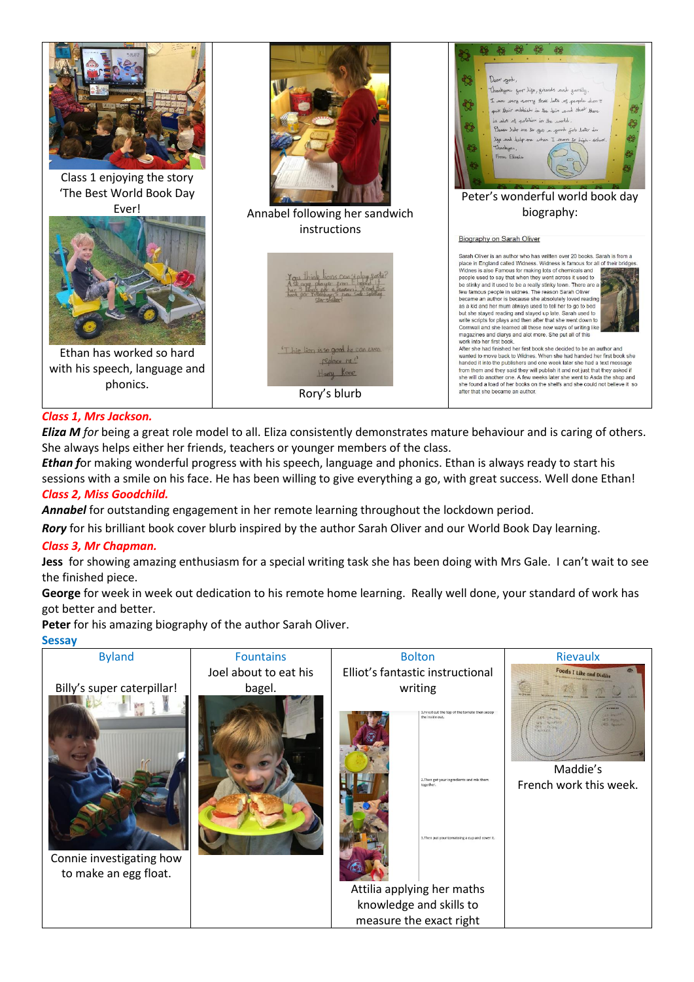

# *Class 1, Mrs Jackson.*

*Eliza M for* being a great role model to all. Eliza consistently demonstrates mature behaviour and is caring of others. She always helps either her friends, teachers or younger members of the class.

*Ethan f*or making wonderful progress with his speech, language and phonics. Ethan is always ready to start his sessions with a smile on his face. He has been willing to give everything a go, with great success. Well done Ethan! *Class 2, Miss Goodchild.*

*Annabel* for outstanding engagement in her remote learning throughout the lockdown period.

*Rory* for his brilliant book cover blurb inspired by the author Sarah Oliver and our World Book Day learning.

#### *Class 3, Mr Chapman.*

**Jess** for showing amazing enthusiasm for a special writing task she has been doing with Mrs Gale. I can't wait to see the finished piece.

**George** for week in week out dedication to his remote home learning. Really well done, your standard of work has got better and better.

**Peter** for his amazing biography of the author Sarah Oliver.

#### **Sessay**